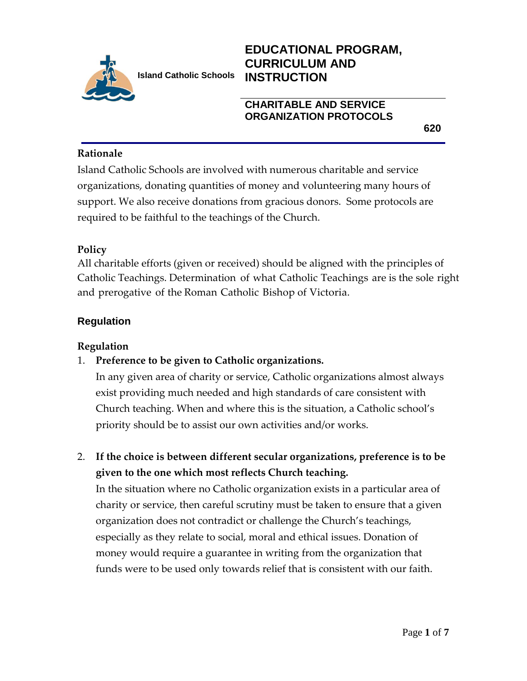

# **EDUCATIONAL PROGRAM, CURRICULUM AND INSTRUCTION**

# **CHARITABLE AND SERVICE ORGANIZATION PROTOCOLS**

**620**

#### **Rationale**

Island Catholic Schools are involved with numerous charitable and service organizations, donating quantities of money and volunteering many hours of support. We also receive donations from gracious donors. Some protocols are required to be faithful to the teachings of the Church.

#### **Policy**

All charitable efforts (given or received) should be aligned with the principles of Catholic Teachings. Determination of what Catholic Teachings are is the sole right and prerogative of the Roman Catholic Bishop of Victoria.

# **Regulation**

#### **Regulation**

# 1. **Preference to be given to Catholic organizations.**

In any given area of charity or service, Catholic organizations almost always exist providing much needed and high standards of care consistent with Church teaching. When and where this is the situation, a Catholic school's priority should be to assist our own activities and/or works.

2. **If the choice is between different secular organizations, preference is to be given to the one which most reflects Church teaching.**

In the situation where no Catholic organization exists in a particular area of charity or service, then careful scrutiny must be taken to ensure that a given organization does not contradict or challenge the Church's teachings, especially as they relate to social, moral and ethical issues. Donation of money would require a guarantee in writing from the organization that funds were to be used only towards relief that is consistent with our faith.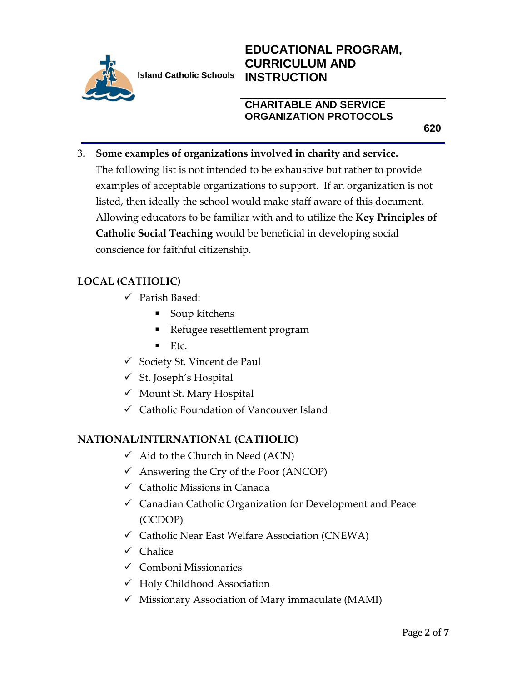

# **EDUCATIONAL PROGRAM, CURRICULUM AND INSTRUCTION**

# **CHARITABLE AND SERVICE ORGANIZATION PROTOCOLS**

**620**

# 3. **Some examples of organizations involved in charity and service.**

The following list is not intended to be exhaustive but rather to provide examples of acceptable organizations to support. If an organization is not listed, then ideally the school would make staff aware of this document. Allowing educators to be familiar with and to utilize the **Key Principles of Catholic Social Teaching** would be beneficial in developing social conscience for faithful citizenship.

# **LOCAL (CATHOLIC)**

- $\checkmark$  Parish Based:
	- Soup kitchens
	- Refugee resettlement program
	- $\blacksquare$  Etc.
- $\checkmark$  Society St. Vincent de Paul
- $\checkmark$  St. Joseph's Hospital
- $\checkmark$  Mount St. Mary Hospital
- Catholic Foundation of Vancouver Island

# **NATIONAL/INTERNATIONAL (CATHOLIC)**

- $\checkmark$  Aid to the Church in Need (ACN)
- $\checkmark$  Answering the Cry of the Poor (ANCOP)
- $\checkmark$  Catholic Missions in Canada
- Canadian Catholic Organization for Development and Peace (CCDOP)
- $\checkmark$  Catholic Near East Welfare Association (CNEWA)
- $\checkmark$  Chalice
- $\checkmark$  Comboni Missionaries
- Holy Childhood Association
- $\checkmark$  Missionary Association of Mary immaculate (MAMI)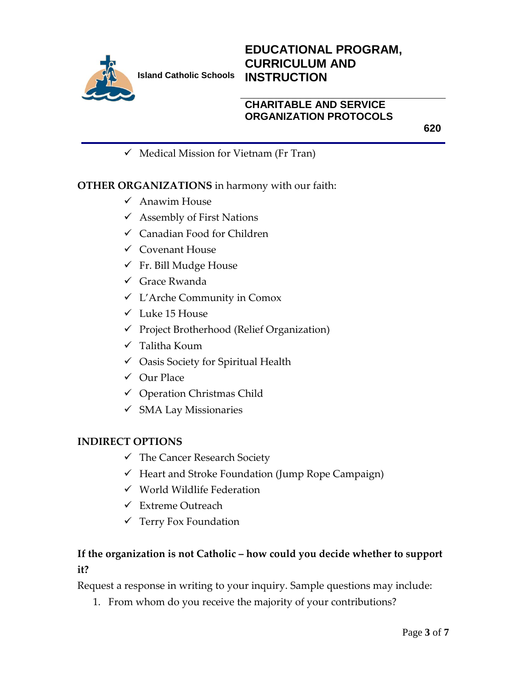

# **EDUCATIONAL PROGRAM, CURRICULUM AND INSTRUCTION**

# **CHARITABLE AND SERVICE ORGANIZATION PROTOCOLS**

**620**

 $\checkmark$  Medical Mission for Vietnam (Fr Tran)

#### **OTHER ORGANIZATIONS** in harmony with our faith:

- $\checkmark$  Anawim House
- $\checkmark$  Assembly of First Nations
- Canadian Food for Children
- $\checkmark$  Covenant House
- $\checkmark$  Fr. Bill Mudge House
- Grace Rwanda
- L'Arche Community in Comox
- $\checkmark$  Luke 15 House
- $\checkmark$  Project Brotherhood (Relief Organization)
- Talitha Koum
- $\checkmark$  Oasis Society for Spiritual Health
- Our Place
- $\checkmark$  Operation Christmas Child
- $\checkmark$  SMA Lay Missionaries

#### **INDIRECT OPTIONS**

- The Cancer Research Society
- $\checkmark$  Heart and Stroke Foundation (Jump Rope Campaign)
- $\checkmark$  World Wildlife Federation
- $\checkmark$  Extreme Outreach
- $\checkmark$  Terry Fox Foundation

# **If the organization is not Catholic – how could you decide whether to support it?**

Request a response in writing to your inquiry. Sample questions may include:

1. From whom do you receive the majority of your contributions?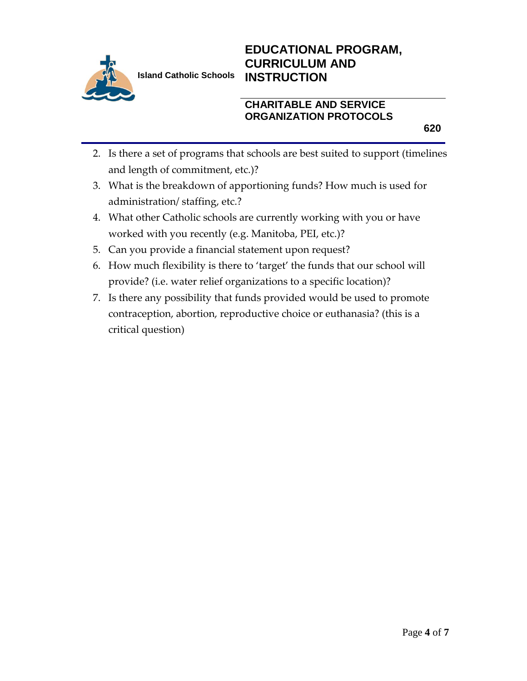

# **EDUCATIONAL PROGRAM, CURRICULUM AND INSTRUCTION**

# **CHARITABLE AND SERVICE ORGANIZATION PROTOCOLS**

**620**

- 2. Is there a set of programs that schools are best suited to support (timelines and length of commitment, etc.)?
- 3. What is the breakdown of apportioning funds? How much is used for administration/ staffing, etc.?
- 4. What other Catholic schools are currently working with you or have worked with you recently (e.g. Manitoba, PEI, etc.)?
- 5. Can you provide a financial statement upon request?
- 6. How much flexibility is there to 'target' the funds that our school will provide? (i.e. water relief organizations to a specific location)?
- 7. Is there any possibility that funds provided would be used to promote contraception, abortion, reproductive choice or euthanasia? (this is a critical question)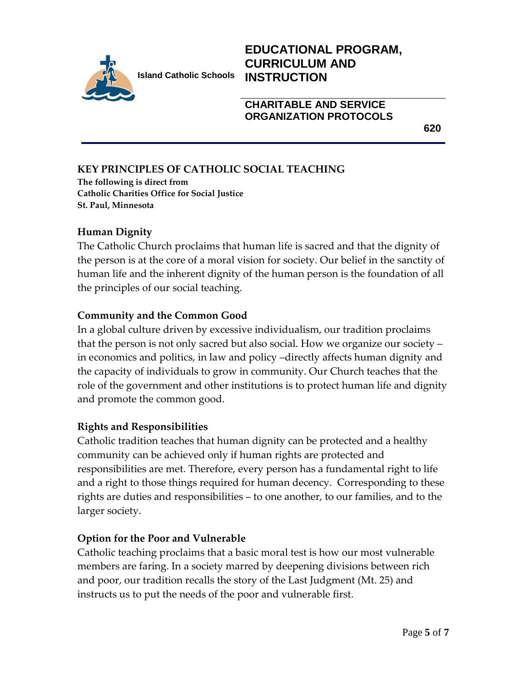

# **EDUCATIONAL PROGRAM, CURRICULUM AND INSTRUCTION**

#### **CHARITABLE AND SERVICE ORGANIZATION PROTOCOLS**

**620**

# **KEY PRINCIPLES OF CATHOLIC SOCIAL TEACHING**

**The following is direct from Catholic Charities Office for Social Justice St. Paul, Minnesota**

# **Human Dignity**

The Catholic Church proclaims that human life is sacred and that the dignity of the person is at the core of a moral vision for society. Our belief in the sanctity of human life and the inherent dignity of the human person is the foundation of all the principles of our social teaching.

#### **Community and the Common Good**

In a global culture driven by excessive individualism, our tradition proclaims that the person is not only sacred but also social. How we organize our society – in economics and politics, in law and policy –directly affects human dignity and the capacity of individuals to grow in community. Our Church teaches that the role of the government and other institutions is to protect human life and dignity and promote the common good.

#### **Rights and Responsibilities**

Catholic tradition teaches that human dignity can be protected and a healthy community can be achieved only if human rights are protected and responsibilities are met. Therefore, every person has a fundamental right to life and a right to those things required for human decency. Corresponding to these rights are duties and responsibilities – to one another, to our families, and to the larger society.

# **Option for the Poor and Vulnerable**

Catholic teaching proclaims that a basic moral test is how our most vulnerable members are faring. In a society marred by deepening divisions between rich and poor, our tradition recalls the story of the Last Judgment (Mt. 25) and instructs us to put the needs of the poor and vulnerable first.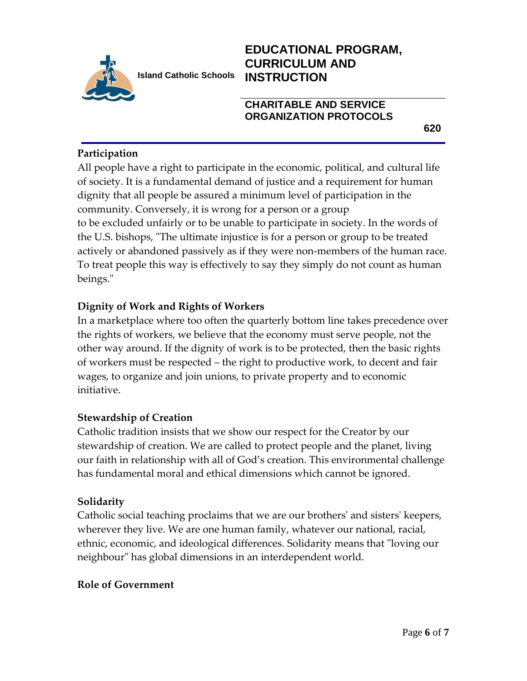

# **EDUCATIONAL PROGRAM, CURRICULUM AND INSTRUCTION**

# **CHARITABLE AND SERVICE ORGANIZATION PROTOCOLS**

**620**

# **Participation**

All people have a right to participate in the economic, political, and cultural life of society. It is a fundamental demand of justice and a requirement for human dignity that all people be assured a minimum level of participation in the community. Conversely, it is wrong for a person or a group to be excluded unfairly or to be unable to participate in society. In the words of the U.S. bishops, "The ultimate injustice is for a person or group to be treated actively or abandoned passively as if they were non-members of the human race. To treat people this way is effectively to say they simply do not count as human beings."

# **Dignity of Work and Rights of Workers**

In a marketplace where too often the quarterly bottom line takes precedence over the rights of workers, we believe that the economy must serve people, not the other way around. If the dignity of work is to be protected, then the basic rights of workers must be respected – the right to productive work, to decent and fair wages, to organize and join unions, to private property and to economic initiative.

# **Stewardship of Creation**

Catholic tradition insists that we show our respect for the Creator by our stewardship of creation. We are called to protect people and the planet, living our faith in relationship with all of God's creation. This environmental challenge has fundamental moral and ethical dimensions which cannot be ignored.

# **Solidarity**

Catholic social teaching proclaims that we are our brothers' and sisters' keepers, wherever they live. We are one human family, whatever our national, racial, ethnic, economic, and ideological differences. Solidarity means that "loving our neighbour" has global dimensions in an interdependent world.

# **Role of Government**